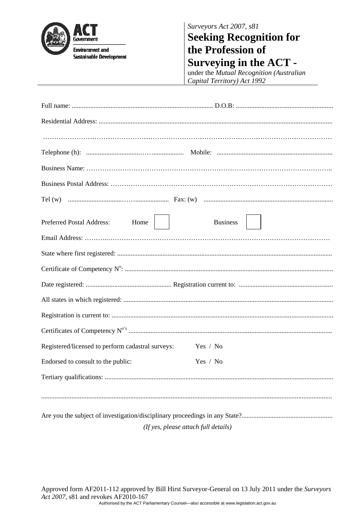

*Surveyors Act 2007, s81* 

## **Seeking Recognition for the Profession of Surveying in the ACT -**

under the *Mutual Recognition (Australian Capital Territory) Act 1992*

| Home  <br><b>Business</b><br><b>Preferred Postal Address:</b> |  |  |
|---------------------------------------------------------------|--|--|
|                                                               |  |  |
|                                                               |  |  |
|                                                               |  |  |
|                                                               |  |  |
|                                                               |  |  |
|                                                               |  |  |
|                                                               |  |  |
| Registered/licensed to perform cadastral surveys:<br>Yes / No |  |  |
| Endorsed to consult to the public:<br>Yes / No                |  |  |
|                                                               |  |  |
|                                                               |  |  |
| (If yes, please attach full details)                          |  |  |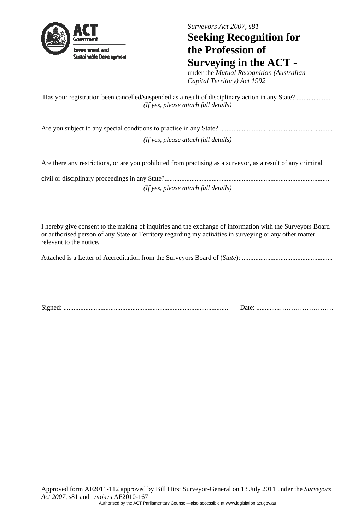

*Surveyors Act 2007, s81*  **Seeking Recognition for the Profession of Surveying in the ACT -** 

under the *Mutual Recognition (Australian Capital Territory) Act 1992*

 Has your registration been cancelled/suspended as a result of disciplinary action in any State? ..................... *(If yes, please attach full details)* 

Are you subject to any special conditions to practise in any State? ................................................................... *(If yes, please attach full details)* 

Are there any restrictions, or are you prohibited from practising as a surveyor, as a result of any criminal

civil or disciplinary proceedings in any State?.................................................................................................. *(If yes, please attach full details)* 

I hereby give consent to the making of inquiries and the exchange of information with the Surveyors Board or authorised person of any State or Territory regarding my activities in surveying or any other matter relevant to the notice.

Attached is a Letter of Accreditation from the Surveyors Board of (*State*): ......................................................

Signed: .................................................................................................. Date: ..............……………………